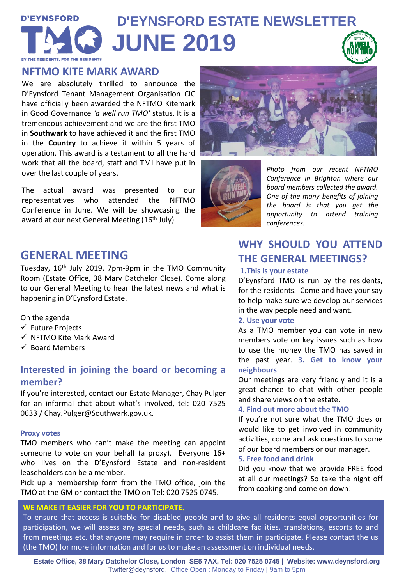## **D'EYNSFORD D'EYNSFORD ESTATE NEWSLETTER JUNE 2019** BY THE RESIDENTS, FOR THE RESIDER

### **NFTMO KITE MARK AWARD**

We are absolutely thrilled to announce the D'Eynsford Tenant Management Organisation CIC have officially been awarded the NFTMO Kitemark in Good Governance *'a well run TMO'* status. It is a tremendous achievement and we are the first TMO in **Southwark** to have achieved it and the first TMO in the **Country** to achieve it within 5 years of operation. This award is a testament to all the hard work that all the board, staff and TMI have put in over the last couple of years.

The actual award was presented to our representatives who attended the NFTMO Conference in June. We will be showcasing the award at our next General Meeting (16<sup>th</sup> July).





*Photo from our recent NFTMO Conference in Brighton where our board members collected the award. One of the many benefits of joining the board is that you get the opportunity to attend training conferences.*

## **GENERAL MEETING**

Tuesday, 16<sup>th</sup> July 2019, 7pm-9pm in the TMO Community Room (Estate Office, 38 Mary Datchelor Close). Come along to our General Meeting to hear the latest news and what is happening in D'Eynsford Estate.

On the agenda

- ✓ Future Projects
- ✓ NFTMO Kite Mark Award
- ✓ Board Members

## **Interested in joining the board or becoming a member?**

If you're interested, contact our Estate Manager, Chay Pulger for an informal chat about what's involved, tel: 020 7525 0633 / Chay.Pulger@Southwark.gov.uk.

#### **Proxy votes**

TMO members who can't make the meeting can appoint someone to vote on your behalf (a proxy). Everyone 16+ who lives on the D'Eynsford Estate and non-resident leaseholders can be a member.

Pick up a membership form from the TMO office, join the TMO at the GM or contact the TMO on Tel: 020 7525 0745.

#### **WE MAKE IT EASIER FOR YOU TO PARTICIPATE.**

# **WHY SHOULD YOU ATTEND THE GENERAL MEETINGS?**

#### **1.This is your estate**

D'Eynsford TMO is run by the residents, for the residents. Come and have your say to help make sure we develop our services in the way people need and want.

#### **2. Use your vote**

As a TMO member you can vote in new members vote on key issues such as how to use the money the TMO has saved in the past year. **3. Get to know your neighbours**

Our meetings are very friendly and it is a great chance to chat with other people and share views on the estate.

#### **4. Find out more about the TMO**

If you're not sure what the TMO does or would like to get involved in community activities, come and ask questions to some of our board members or our manager.

#### **5. Free food and drink**

Did you know that we provide FREE food at all our meetings? So take the night off from cooking and come on down!

To ensure that access is suitable for disabled people and to give all residents equal opportunities for participation, we will assess any special needs, such as childcare facilities, translations, escorts to and from meetings etc. that anyone may require in order to assist them in participate. Please contact the us (the TMO) for more information and for us to make an assessment on individual needs.

**Estate Office, 38 Mary Datchelor Close, London SE5 7AX, Tel: 020 7525 0745 | Website: www.deynsford.org** Twitter@deynsford, Office Open : Monday to Friday | 9am to 5pm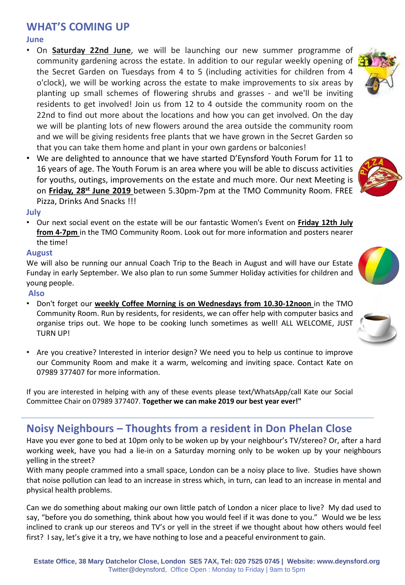## **WHAT'S COMING UP**

#### **June**

- On **Saturday 22nd June**, we will be launching our new summer programme of community gardening across the estate. In addition to our regular weekly opening of the Secret Garden on Tuesdays from 4 to 5 (including activities for children from 4 o'clock), we will be working across the estate to make improvements to six areas by planting up small schemes of flowering shrubs and grasses - and we'll be inviting residents to get involved! Join us from 12 to 4 outside the community room on the 22nd to find out more about the locations and how you can get involved. On the day we will be planting lots of new flowers around the area outside the community room and we will be giving residents free plants that we have grown in the Secret Garden so that you can take them home and plant in your own gardens or balconies!
- We are delighted to announce that we have started D'Eynsford Youth Forum for 11 to 16 years of age. The Youth Forum is an area where you will be able to discuss activities for youths, outings, improvements on the estate and much more. Our next Meeting is on **Friday, 28st June 2019** between 5.30pm-7pm at the TMO Community Room. FREE Pizza, Drinks And Snacks !!!

#### **July**

• Our next social event on the estate will be our fantastic Women's Event on **Friday 12th July from 4-7pm** in the TMO Community Room. Look out for more information and posters nearer the time!

#### **August**

We will also be running our annual Coach Trip to the Beach in August and will have our Estate Funday in early September. We also plan to run some Summer Holiday activities for children and young people.

#### **Also**

- Don't forget our **weekly Coffee Morning is on Wednesdays from 10.30-12noon** in the TMO Community Room. Run by residents, for residents, we can offer help with computer basics and organise trips out. We hope to be cooking lunch sometimes as well! ALL WELCOME, JUST TURN UP!
- Are you creative? Interested in interior design? We need you to help us continue to improve our Community Room and make it a warm, welcoming and inviting space. Contact Kate on 07989 377407 for more information.

If you are interested in helping with any of these events please text/WhatsApp/call Kate our Social Committee Chair on 07989 377407. **Together we can make 2019 our best year ever!"**

### **Noisy Neighbours – Thoughts from a resident in Don Phelan Close**

Have you ever gone to bed at 10pm only to be woken up by your neighbour's TV/stereo? Or, after a hard working week, have you had a lie-in on a Saturday morning only to be woken up by your neighbours yelling in the street?

With many people crammed into a small space, London can be a noisy place to live. Studies have shown that noise pollution can lead to an increase in stress which, in turn, can lead to an increase in mental and physical health problems.

Can we do something about making our own little patch of London a nicer place to live? My dad used to say, "before you do something, think about how you would feel if it was done to you." Would we be less inclined to crank up our stereos and TV's or yell in the street if we thought about how others would feel first? I say, let's give it a try, we have nothing to lose and a peaceful environment to gain.





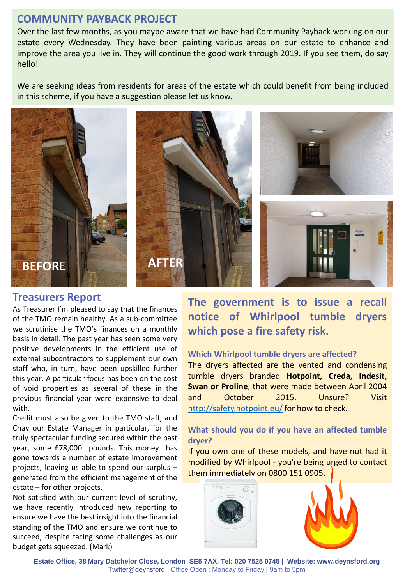### **COMMUNITY PAYBACK PROJECT**

Over the last few months, as you maybe aware that we have had Community Payback working on our estate every Wednesday. They have been painting various areas on our estate to enhance and improve the area you live in. They will continue the good work through 2019. If you see them, do say hello!

We are seeking ideas from residents for areas of the estate which could benefit from being included in this scheme, if you have a suggestion please let us know.



### **Treasurers Report**

As Treasurer I'm pleased to say that the finances of the TMO remain healthy. As a sub-committee we scrutinise the TMO's finances on a monthly basis in detail. The past year has seen some very positive developments in the efficient use of external subcontractors to supplement our own staff who, in turn, have been upskilled further this year. A particular focus has been on the cost of void properties as several of these in the previous financial year were expensive to deal with.

Credit must also be given to the TMO staff, and Chay our Estate Manager in particular, for the truly spectacular funding secured within the past year, some £78,000 pounds. This money has gone towards a number of estate improvement projects, leaving us able to spend our surplus – generated from the efficient management of the estate – for other projects.

Not satisfied with our current level of scrutiny, we have recently introduced new reporting to ensure we have the best insight into the financial standing of the TMO and ensure we continue to succeed, despite facing some challenges as our budget gets squeezed. (Mark)

**The government is to issue a recall notice of Whirlpool tumble dryers which pose a fire safety risk.**

#### **Which Whirlpool tumble dryers are affected?**

The dryers affected are the vented and condensing tumble dryers branded **Hotpoint, Creda, Indesit, Swan or Proline**, that were made between April 2004 and October 2015. Unsure? Visit <http://safety.hotpoint.eu/> for how to check.

### **What should you do if you have an affected tumble dryer?**

If you own one of these models, and have not had it modified by Whirlpool - you're being urged to contact them immediately on 0800 151 0905.



**Estate Office, 38 Mary Datchelor Close, London SE5 7AX, Tel: 020 7525 0745 | Website: www.deynsford.org** Twitter@deynsford, Office Open : Monday to Friday | 9am to 5pm